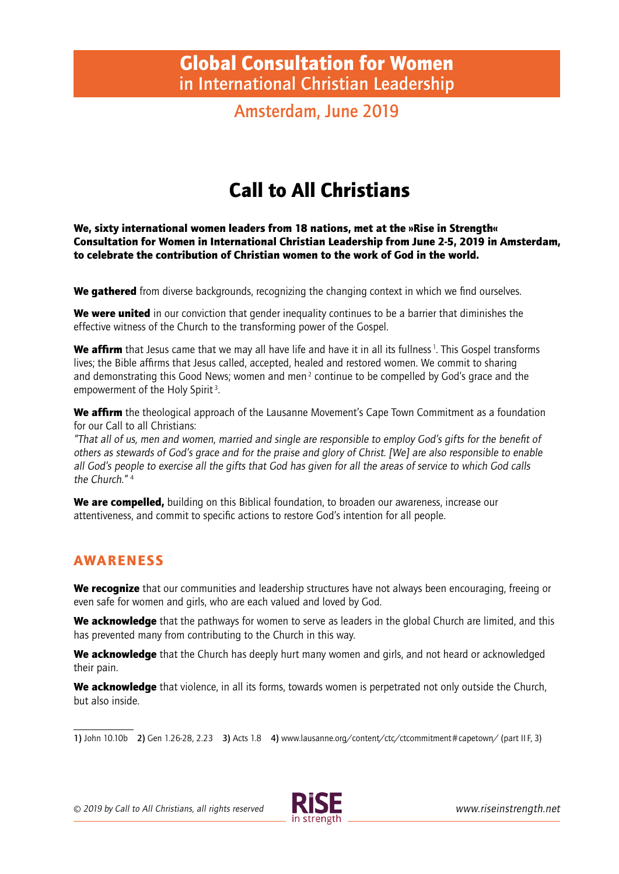## Global Consultation for Women **in International Christian Leadership**

**Amsterdam, June 2019**

# Call to All Christians

We, sixty international women leaders from 18 nations, met at the »Rise in Strength« Consultation for Women in International Christian Leadership from June 2-5, 2019 in Amsterdam, to celebrate the contribution of Christian women to the work of God in the world.

We gathered from diverse backgrounds, recognizing the changing context in which we find ourselves.

We were united in our conviction that gender inequality continues to be a barrier that diminishes the effective witness of the Church to the transforming power of the Gospel.

We affirm that Jesus came that we may all have life and have it in all its fullness<sup>1</sup>. This Gospel transforms lives; the Bible affirms that Jesus called, accepted, healed and restored women. We commit to sharing and demonstrating this Good News; women and men<sup>2</sup> continue to be compelled by God's grace and the empowerment of the Holy Spirit<sup>3</sup>.

We affirm the theological approach of the Lausanne Movement's Cape Town Commitment as a foundation for our Call to all Christians:

"That all of us, men and women, married and single are responsible to employ God's gifts for the benefi t of others as stewards of God's grace and for the praise and glory of Christ. [We] are also responsible to enable all God's people to exercise all the gifts that God has given for all the areas of service to which God calls the Church."<sup>4</sup>

We are compelled, building on this Biblical foundation, to broaden our awareness, increase our attentiveness, and commit to specific actions to restore God's intention for all people.

#### AWARENESS

We recognize that our communities and leadership structures have not always been encouraging, freeing or even safe for women and girls, who are each valued and loved by God.

We acknowledge that the pathways for women to serve as leaders in the global Church are limited, and this has prevented many from contributing to the Church in this way.

We acknowledge that the Church has deeply hurt many women and girls, and not heard or acknowledged their pain.

We acknowledge that violence, in all its forms, towards women is perpetrated not only outside the Church, but also inside.

**1)** John 10.10b **2)** Gen 1.26-28, 2.23 **3)** Acts 1.8 **4)** www.lausanne.org/content/ctc/ctcommitment # capetown/ (part II F, 3)